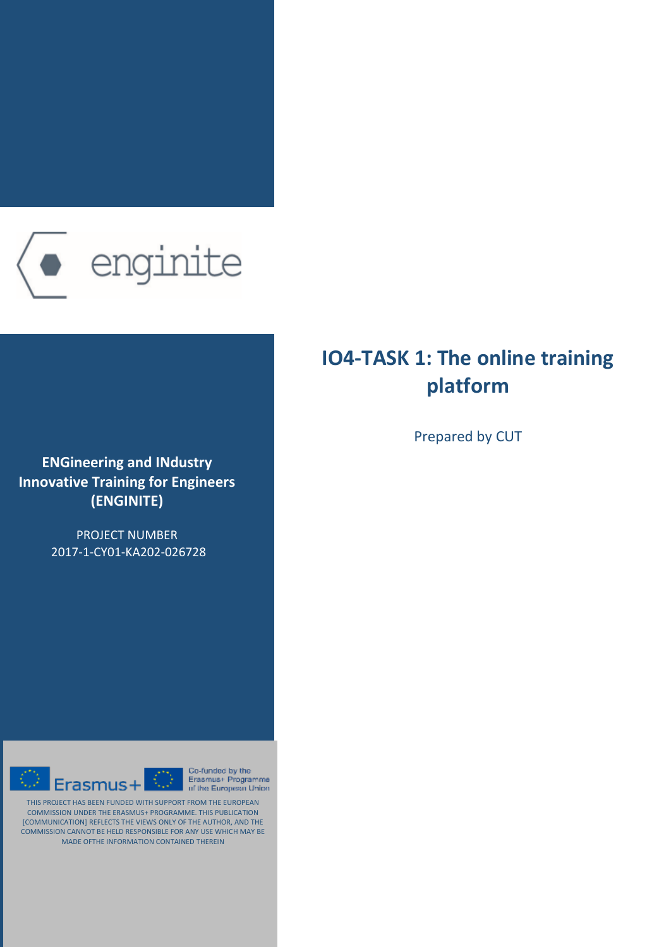

**ENGineering and IΝdustry Innovative Training for Engineers (ENGINITE)**

> PROJECT NUMBER 2017-1-CY01-KA202-026728



Co-funded by the  $\overline{\mathbb{O}}$ Erasmus+ Programme of the European Union

THIS PROJECT HAS BEEN FUNDED WITH SUPPORT FROM THE EUROPEAN COMMISSION UNDER THE ERASMUS+ PROGRAMME. THIS PUBLICATION [COMMUNICATION] REFLECTS THE VIEWS ONLY OF THE AUTHOR, AND THE COMMISSION CANNOT BE HELD RESPONSIBLE FOR ANY USE WHICH MAY BE MADE OFTHE INFORMATION CONTAINED THEREIN

# **IO4-TASK 1: The online training platform**

Prepared by CUT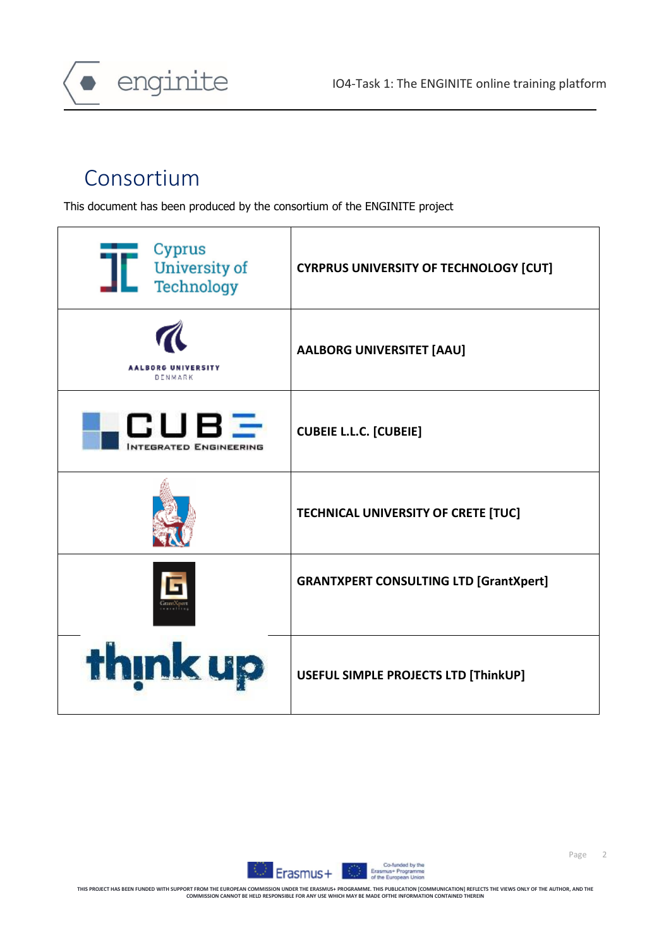

# Consortium

This document has been produced by the consortium of the ENGINITE project

| Cyprus<br><b>University of</b><br>Technology | <b>CYRPRUS UNIVERSITY OF TECHNOLOGY [CUT]</b> |
|----------------------------------------------|-----------------------------------------------|
| <b>AALBORG UNIVERSITY</b><br>DENMARK         | <b>AALBORG UNIVERSITET [AAU]</b>              |
| CUBE<br><b>NTEGRATED ENGINEERING</b>         | <b>CUBEIE L.L.C. [CUBEIE]</b>                 |
|                                              | TECHNICAL UNIVERSITY OF CRETE [TUC]           |
|                                              | <b>GRANTXPERT CONSULTING LTD [GrantXpert]</b> |
| think up                                     | USEFUL SIMPLE PROJECTS LTD [ThinkUP]          |

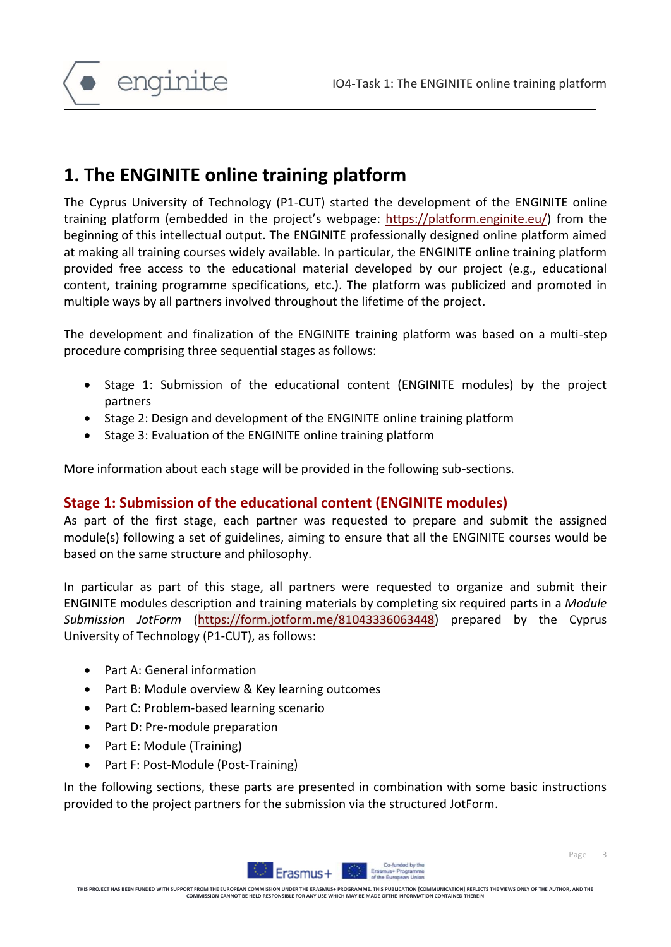enginite

# **1. The ENGINITE online training platform**

The Cyprus University of Technology (P1-CUT) started the development of the ENGINITE online training platform (embedded in the project's webpage: [https://platform.enginite.eu/\)](https://platform.enginite.eu/) from the beginning of this intellectual output. The ENGINITE professionally designed online platform aimed at making all training courses widely available. In particular, the ENGINITE online training platform provided free access to the educational material developed by our project (e.g., educational content, training programme specifications, etc.). The platform was publicized and promoted in multiple ways by all partners involved throughout the lifetime of the project.

The development and finalization of the ENGINITE training platform was based on a multi-step procedure comprising three sequential stages as follows:

- Stage 1: Submission of the educational content (ENGINITE modules) by the project partners
- Stage 2: Design and development of the ENGINITE online training platform
- Stage 3: Evaluation of the ENGINITE online training platform

More information about each stage will be provided in the following sub-sections.

### **Stage 1: Submission of the educational content (ENGINITE modules)**

As part of the first stage, each partner was requested to prepare and submit the assigned module(s) following a set of guidelines, aiming to ensure that all the ENGINITE courses would be based on the same structure and philosophy.

In particular as part of this stage, all partners were requested to organize and submit their ENGINITE modules description and training materials by completing six required parts in a *Module Submission JotForm* [\(https://form.jotform.me/81043336063448\)](https://form.jotform.me/81043336063448) prepared by the Cyprus University of Technology (P1-CUT), as follows:

- Part A: General information
- Part B: Module overview & Key learning outcomes
- Part C: Problem-based learning scenario
- Part D: Pre-module preparation
- Part E: Module (Training)
- Part F: Post-Module (Post-Training)

In the following sections, these parts are presented in combination with some basic instructions provided to the project partners for the submission via the structured JotForm.



**THIS PROJECT HAS BEEN FUNDED WITH SUPPORT FROM THE EUROPEAN COMMISSION UNDER THE ERASMUS+ PROGRAMME. THIS PUBLICATION [COMMUNICATION] REFLECTS THE VIEWS ONLY OF THE AUTHOR, AND THE COMMISSION CANNOT BE HELD RESPONSIBLE FOR ANY USE WHICH MAY BE MADE OFTHE INFORMATION CONTAINED THEREIN**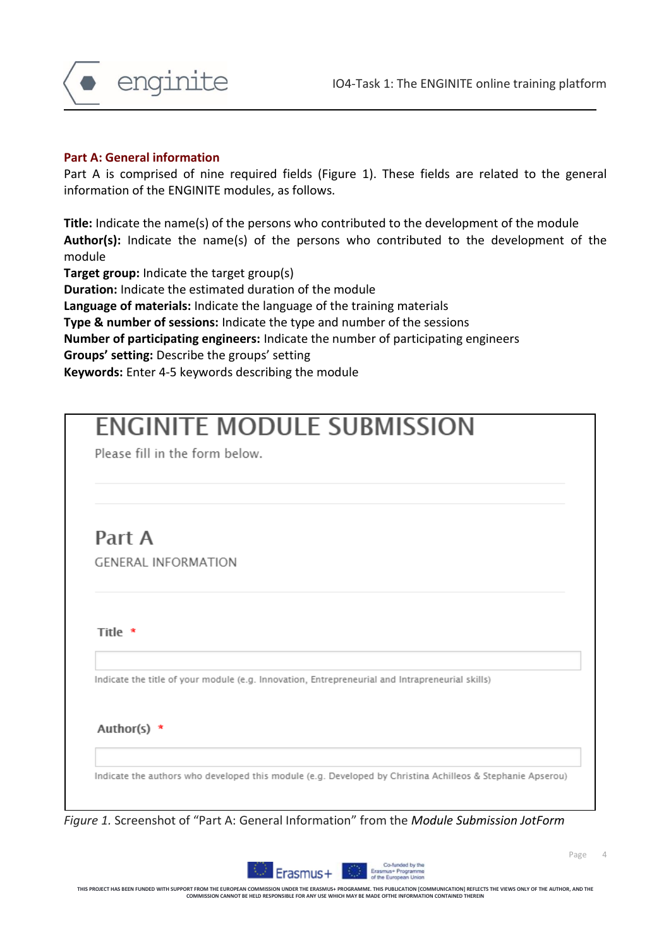

#### **Part A: General information**

Part A is comprised of nine required fields (Figure 1). These fields are related to the general information of the ENGINITE modules, as follows.

**Title:** Indicate the name(s) of the persons who contributed to the development of the module **Author(s):** Indicate the name(s) of the persons who contributed to the development of the module

**Target group:** Indicate the target group(s) **Duration:** Indicate the estimated duration of the module **Language of materials:** Indicate the language of the training materials **Type & number of sessions:** Indicate the type and number of the sessions **Number of participating engineers:** Indicate the number of participating engineers **Groups' setting:** Describe the groups' setting **Keywords:** Enter 4-5 keywords describing the module

| Indicate the title of your module (e.g. Innovation, Entrepreneurial and Intrapreneurial skills) |
|-------------------------------------------------------------------------------------------------|
|                                                                                                 |
|                                                                                                 |

*Figure 1.* Screenshot of "Part A: General Information" from the *Module Submission JotForm*

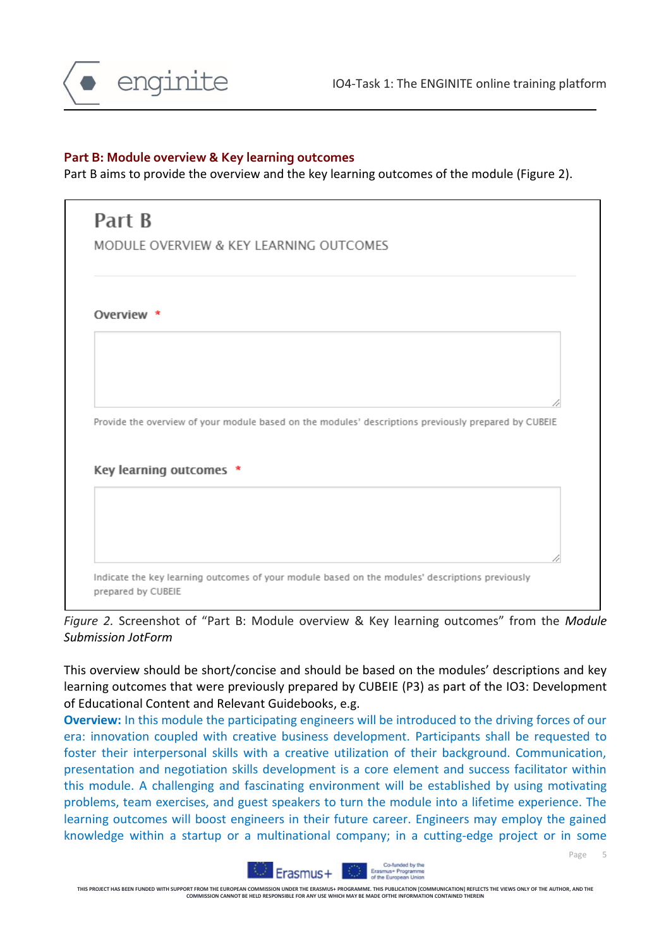

#### **Part B: Module overview & Key learning outcomes**

Part B aims to provide the overview and the key learning outcomes of the module (Figure 2).

| MODULE OVERVIEW & KEY LEARNING OUTCOMES                                                              |
|------------------------------------------------------------------------------------------------------|
| Overview *                                                                                           |
|                                                                                                      |
| Provide the overview of your module based on the modules' descriptions previously prepared by CUBEIE |
| Key learning outcomes *                                                                              |
|                                                                                                      |
|                                                                                                      |

*Figure 2.* Screenshot of "Part B: Module overview & Key learning outcomes" from the *Module Submission JotForm*

This overview should be short/concise and should be based on the modules' descriptions and key learning outcomes that were previously prepared by CUBEIE (P3) as part of the IO3: Development of Educational Content and Relevant Guidebooks, e.g.

**Overview:** In this module the participating engineers will be introduced to the driving forces of our era: innovation coupled with creative business development. Participants shall be requested to foster their interpersonal skills with a creative utilization of their background. Communication, presentation and negotiation skills development is a core element and success facilitator within this module. A challenging and fascinating environment will be established by using motivating problems, team exercises, and guest speakers to turn the module into a lifetime experience. The learning outcomes will boost engineers in their future career. Engineers may employ the gained knowledge within a startup or a multinational company; in a cutting-edge project or in some



THIS PROJECT HAS BEEN FUNDED WITH SUPPORT FROM THE EUROPEAN COMMISSION UNDER THE ERASMUS+ PROGRAMME. THIS PUBLICATION [COMMUNICATION] REFLECTS THE VIEWS ONLY OF THE AUTHOR, AND THE<br>COMMISSION CANNOT BE HILD RESPONSIEL FOR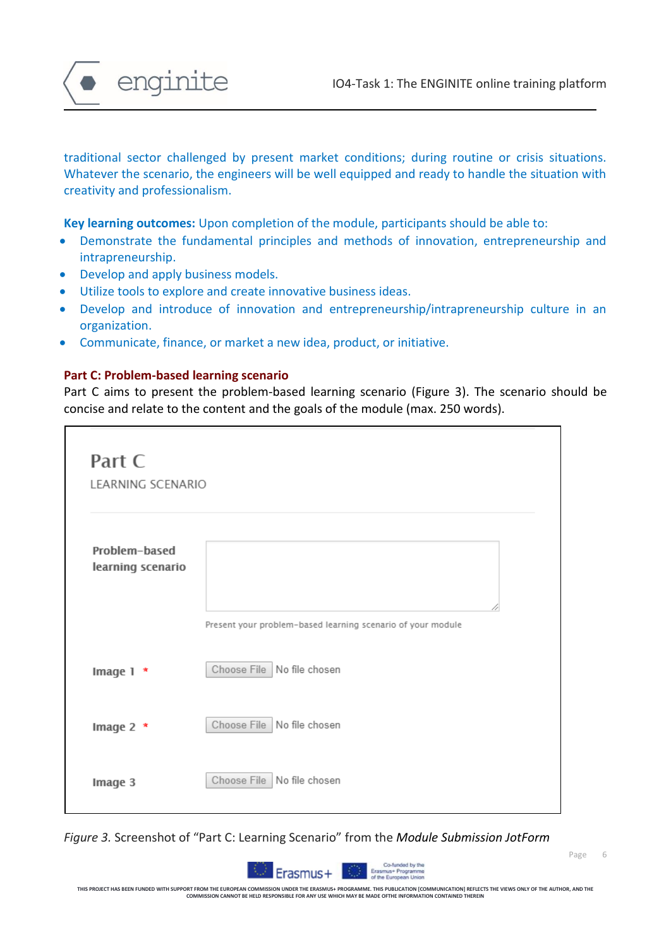

traditional sector challenged by present market conditions; during routine or crisis situations. Whatever the scenario, the engineers will be well equipped and ready to handle the situation with creativity and professionalism.

**Key learning outcomes:** Upon completion of the module, participants should be able to:

- Demonstrate the fundamental principles and methods of innovation, entrepreneurship and intrapreneurship.
- Develop and apply business models.
- Utilize tools to explore and create innovative business ideas.
- Develop and introduce of innovation and entrepreneurship/intrapreneurship culture in an organization.
- Communicate, finance, or market a new idea, product, or initiative.

#### **Part C: Problem-based learning scenario**

Part C aims to present the problem-based learning scenario (Figure 3). The scenario should be concise and relate to the content and the goals of the module (max. 250 words).

| Part C<br>LEARNING SCENARIO        |                                                             |
|------------------------------------|-------------------------------------------------------------|
| Problem-based<br>learning scenario |                                                             |
|                                    | Present your problem-based learning scenario of your module |
| Image 1 *                          | Choose File No file chosen                                  |
| Image 2 *                          | Choose File No file chosen                                  |
| Image 3                            | Choose File   No file chosen                                |

*Figure 3.* Screenshot of "Part C: Learning Scenario" from the *Module Submission JotForm*



THIS PROJECT HAS BEEN FUNDED WITH SUPPORT FROM THE EUROPEAN COMMISSION UNDER THE ERASMUS+ PROGRAMME. THIS PUBLICATION [COMMUNICATION] REFLECTS THE VIEWS ONLY OF THE AUTHOR, AND THE<br>COMMISSION CANNOT BE HILD RESPONSIEL FOR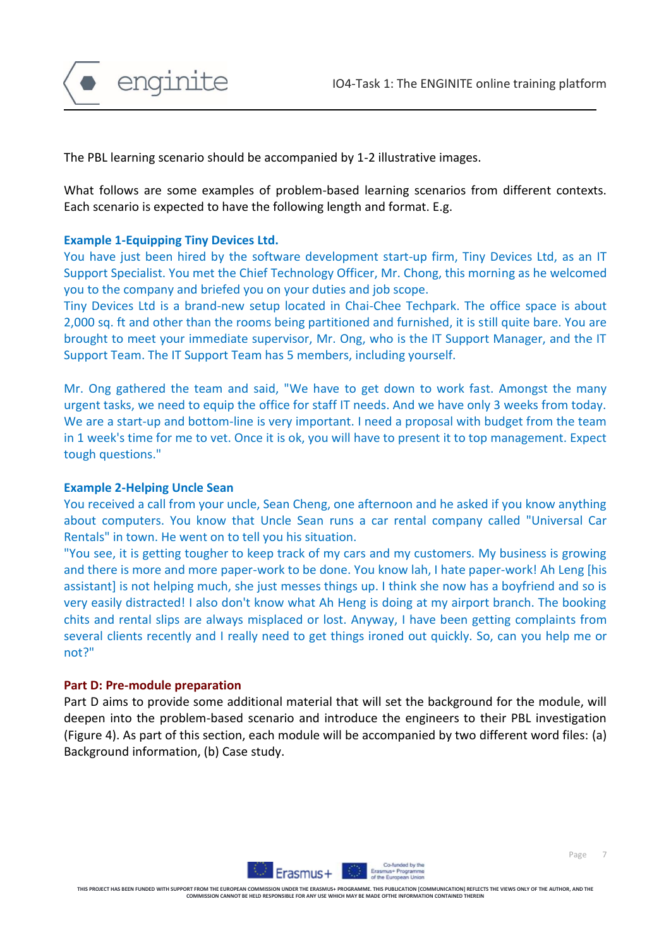

The PBL learning scenario should be accompanied by 1-2 illustrative images.

What follows are some examples of problem-based learning scenarios from different contexts. Each scenario is expected to have the following length and format. E.g.

#### **Example 1-Equipping Tiny Devices Ltd.**

You have just been hired by the software development start-up firm, Tiny Devices Ltd, as an IT Support Specialist. You met the Chief Technology Officer, Mr. Chong, this morning as he welcomed you to the company and briefed you on your duties and job scope.

Tiny Devices Ltd is a brand-new setup located in Chai-Chee Techpark. The office space is about 2,000 sq. ft and other than the rooms being partitioned and furnished, it is still quite bare. You are brought to meet your immediate supervisor, Mr. Ong, who is the IT Support Manager, and the IT Support Team. The IT Support Team has 5 members, including yourself.

Mr. Ong gathered the team and said, "We have to get down to work fast. Amongst the many urgent tasks, we need to equip the office for staff IT needs. And we have only 3 weeks from today. We are a start-up and bottom-line is very important. I need a proposal with budget from the team in 1 week's time for me to vet. Once it is ok, you will have to present it to top management. Expect tough questions."

#### **Example 2-Helping Uncle Sean**

You received a call from your uncle, Sean Cheng, one afternoon and he asked if you know anything about computers. You know that Uncle Sean runs a car rental company called "Universal Car Rentals" in town. He went on to tell you his situation.

"You see, it is getting tougher to keep track of my cars and my customers. My business is growing and there is more and more paper-work to be done. You know lah, I hate paper-work! Ah Leng [his assistant] is not helping much, she just messes things up. I think she now has a boyfriend and so is very easily distracted! I also don't know what Ah Heng is doing at my airport branch. The booking chits and rental slips are always misplaced or lost. Anyway, I have been getting complaints from several clients recently and I really need to get things ironed out quickly. So, can you help me or not?"

#### **Part D: Pre-module preparation**

Part D aims to provide some additional material that will set the background for the module, will deepen into the problem-based scenario and introduce the engineers to their PBL investigation (Figure 4). As part of this section, each module will be accompanied by two different word files: (a) Background information, (b) Case study.

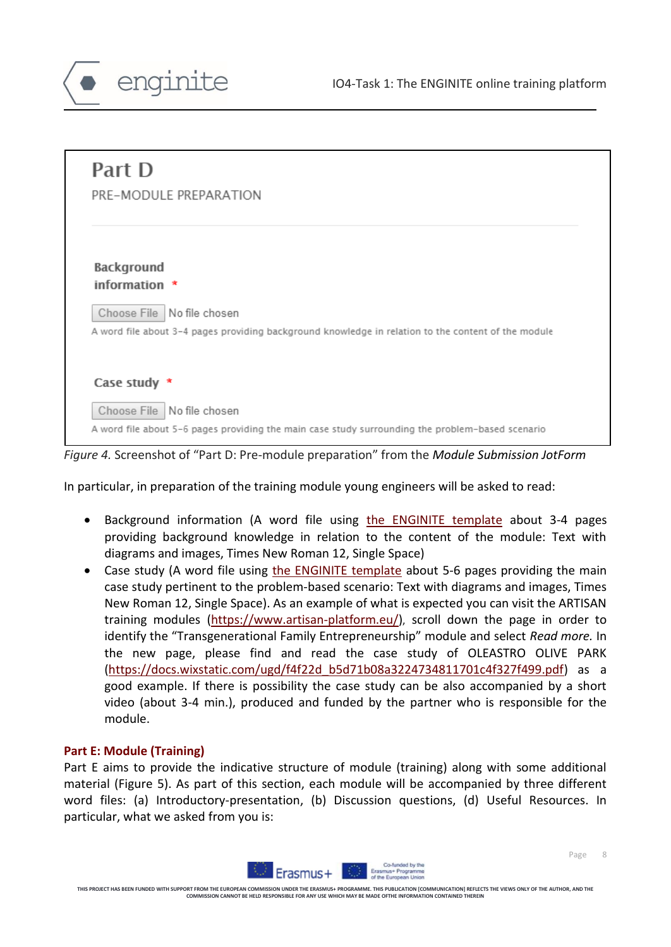

| Part D                       |                                                                                                     |
|------------------------------|-----------------------------------------------------------------------------------------------------|
|                              | PRE-MODULE PREPARATION                                                                              |
|                              |                                                                                                     |
| Background                   |                                                                                                     |
| information *                |                                                                                                     |
|                              | Choose File No file chosen                                                                          |
|                              | A word file about 3-4 pages providing background knowledge in relation to the content of the module |
|                              |                                                                                                     |
| Case study *                 |                                                                                                     |
|                              |                                                                                                     |
| Choose File   No file chosen |                                                                                                     |

*Figure 4.* Screenshot of "Part D: Pre-module preparation" from the *Module Submission JotForm*

In particular, in preparation of the training module young engineers will be asked to read:

- Background information (A word file using [the ENGINITE template](https://drive.google.com/drive/u/1/folders/1xaoUc-yQVsj7q1M6we8fDng1EuL_HLCr) about 3-4 pages providing background knowledge in relation to the content of the module: Text with diagrams and images, Times New Roman 12, Single Space)
- Case study (A word file using [the ENGINITE template](https://drive.google.com/drive/u/1/folders/1xaoUc-yQVsj7q1M6we8fDng1EuL_HLCr) about 5-6 pages providing the main case study pertinent to the problem-based scenario: Text with diagrams and images, Times New Roman 12, Single Space). As an example of what is expected you can visit the ARTISAN training modules [\(https://www.artisan-platform.eu/\)](https://www.artisan-platform.eu/), scroll down the page in order to identify the "Transgenerational Family Entrepreneurship" module and select *Read more.* In the new page, please find and read the case study of OLEASTRO OLIVE PARK [\(https://docs.wixstatic.com/ugd/f4f22d\\_b5d71b08a3224734811701c4f327f499.pdf\)](https://docs.wixstatic.com/ugd/f4f22d_b5d71b08a3224734811701c4f327f499.pdf) as a good example. If there is possibility the case study can be also accompanied by a short video (about 3-4 min.), produced and funded by the partner who is responsible for the module.

#### **Part E: Module (Training)**

enginite

Part E aims to provide the indicative structure of module (training) along with some additional material (Figure 5). As part of this section, each module will be accompanied by three different word files: (a) Introductory-presentation, (b) Discussion questions, (d) Useful Resources. In particular, what we asked from you is:



**THIS PROJECT HAS BEEN FUNDED WITH SUPPORT FROM THE EUROPEAN COMMISSION UNDER THE ERASMUS+ PROGRAMME. THIS PUBLICATION [COMMUNICATION] REFLECTS THE VIEWS ONLY OF THE AUTHOR, AND THE COMMISSION CANNOT BE HELD RESPONSIBLE FOR ANY USE WHICH MAY BE MADE OFTHE INFORMATION CONTAINED THEREIN**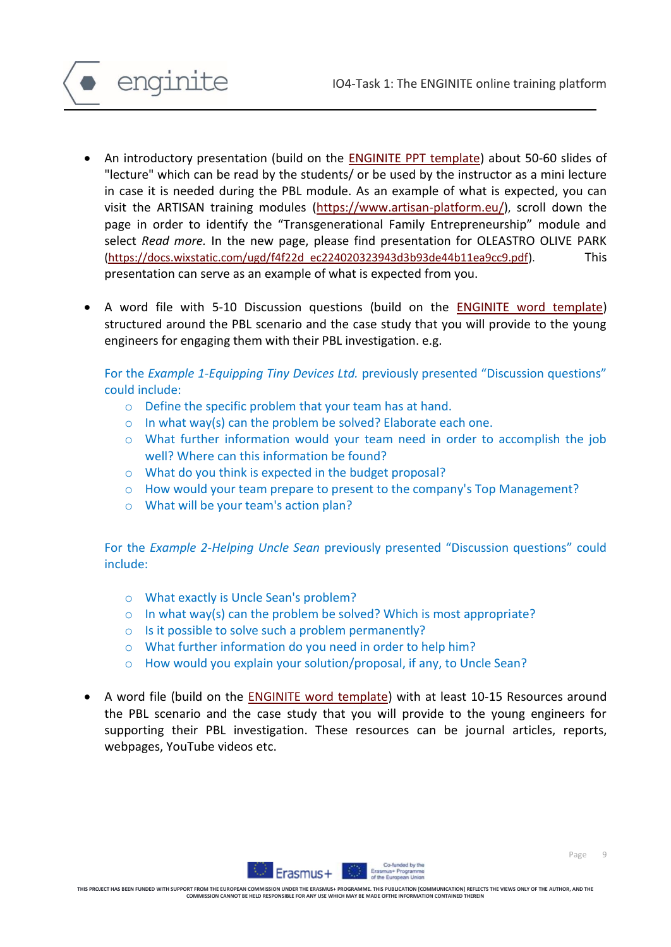

- An introductory presentation (build on the [ENGINITE PPT template\)](https://drive.google.com/drive/u/1/folders/1LCWhqPxFa4jGxcSdglo_ww410Jm1HiRV) about 50-60 slides of "lecture" which can be read by the students/ or be used by the instructor as a mini lecture in case it is needed during the PBL module. As an example of what is expected, you can visit the ARTISAN training modules [\(https://www.artisan-platform.eu/\)](https://www.artisan-platform.eu/), scroll down the page in order to identify the "Transgenerational Family Entrepreneurship" module and select *Read more.* In the new page, please find presentation for OLEASTRO OLIVE PARK [\(https://docs.wixstatic.com/ugd/f4f22d\\_ec224020323943d3b93de44b11ea9cc9.pdf\)](https://docs.wixstatic.com/ugd/f4f22d_ec224020323943d3b93de44b11ea9cc9.pdf). This presentation can serve as an example of what is expected from you.
- A word file with 5-10 Discussion questions (build on the [ENGINITE word template\)](https://drive.google.com/drive/u/1/folders/1xaoUc-yQVsj7q1M6we8fDng1EuL_HLCr) structured around the PBL scenario and the case study that you will provide to the young engineers for engaging them with their PBL investigation. e.g.

For the *Example 1-Equipping Tiny Devices Ltd.* previously presented "Discussion questions" could include:

- o Define the specific problem that your team has at hand.
- o In what way(s) can the problem be solved? Elaborate each one.
- o What further information would your team need in order to accomplish the job well? Where can this information be found?
- o What do you think is expected in the budget proposal?
- o How would your team prepare to present to the company's Top Management?
- o What will be your team's action plan?

For the *Example 2-Helping Uncle Sean* previously presented "Discussion questions" could include:

- o What exactly is Uncle Sean's problem?
- $\circ$  In what way(s) can the problem be solved? Which is most appropriate?
- o Is it possible to solve such a problem permanently?
- o What further information do you need in order to help him?
- o How would you explain your solution/proposal, if any, to Uncle Sean?
- A word file (build on the **ENGINITE word template)** with at least 10-15 Resources around the PBL scenario and the case study that you will provide to the young engineers for supporting their PBL investigation. These resources can be journal articles, reports, webpages, YouTube videos etc.



**THIS PROJECT HAS BEEN FUNDED WITH SUPPORT FROM THE EUROPEAN COMMISSION UNDER THE ERASMUS+ PROGRAMME. THIS PUBLICATION [COMMUNICATION] REFLECTS THE VIEWS ONLY OF THE AUTHOR, AND THE COMMISSION CANNOT BE HELD RESPONSIBLE FOR ANY USE WHICH MAY BE MADE OFTHE INFORMATION CONTAINED THEREIN**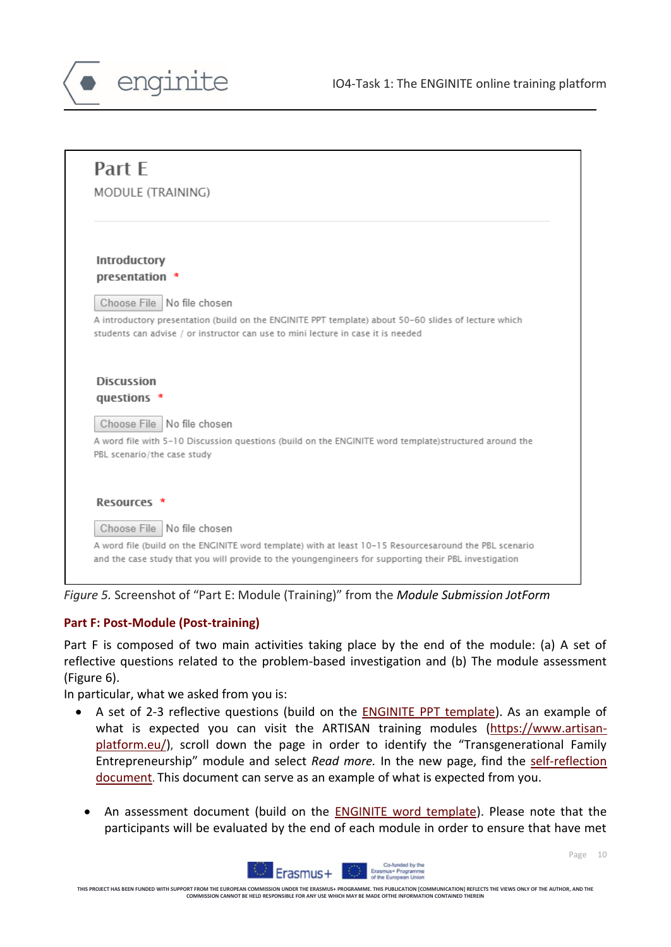

| Part E                      |                                                                                                        |
|-----------------------------|--------------------------------------------------------------------------------------------------------|
| MODULE (TRAINING)           |                                                                                                        |
|                             |                                                                                                        |
| Introductory                |                                                                                                        |
| presentation                |                                                                                                        |
|                             | Choose File   No file chosen                                                                           |
|                             | A introductory presentation (build on the ENGINITE PPT template) about 50-60 slides of lecture which   |
|                             | students can advise / or instructor can use to mini lecture in case it is needed                       |
|                             |                                                                                                        |
| <b>Discussion</b>           |                                                                                                        |
| questions *                 |                                                                                                        |
|                             | Choose File No file chosen                                                                             |
|                             | A word file with 5-10 Discussion questions (build on the ENGINITE word template)structured around the  |
|                             |                                                                                                        |
|                             |                                                                                                        |
| Resources *                 |                                                                                                        |
| PBL scenario/the case study | Choose File No file chosen                                                                             |
|                             | A word file (build on the ENGINITE word template) with at least 10-15 Resourcesaround the PBL scenario |

*Figure 5.* Screenshot of "Part E: Module (Training)" from the *Module Submission JotForm*

#### **Part F: Post-Module (Post-training)**

Part F is composed of two main activities taking place by the end of the module: (a) A set of reflective questions related to the problem-based investigation and (b) The module assessment (Figure 6).

In particular, what we asked from you is:

- A set of 2-3 reflective questions (build on the [ENGINITE PPT template\)](https://drive.google.com/drive/u/1/folders/1LCWhqPxFa4jGxcSdglo_ww410Jm1HiRV). As an example of what is expected you can visit the ARTISAN training modules [\(https://www.artisan](https://www.artisan-platform.eu/)[platform.eu/\)](https://www.artisan-platform.eu/), scroll down the page in order to identify the "Transgenerational Family Entrepreneurship" module and select *Read more.* In the new page, find the [self-reflection](https://docs.wixstatic.com/ugd/f4f22d_6519da7723144c50b85e1e98e84e2d2d.pdf)  [document](https://docs.wixstatic.com/ugd/f4f22d_6519da7723144c50b85e1e98e84e2d2d.pdf). This document can serve as an example of what is expected from you.
	- An assessment document (build on the [ENGINITE word template\)](https://drive.google.com/drive/u/1/folders/1xaoUc-yQVsj7q1M6we8fDng1EuL_HLCr). Please note that the participants will be evaluated by the end of each module in order to ensure that have met

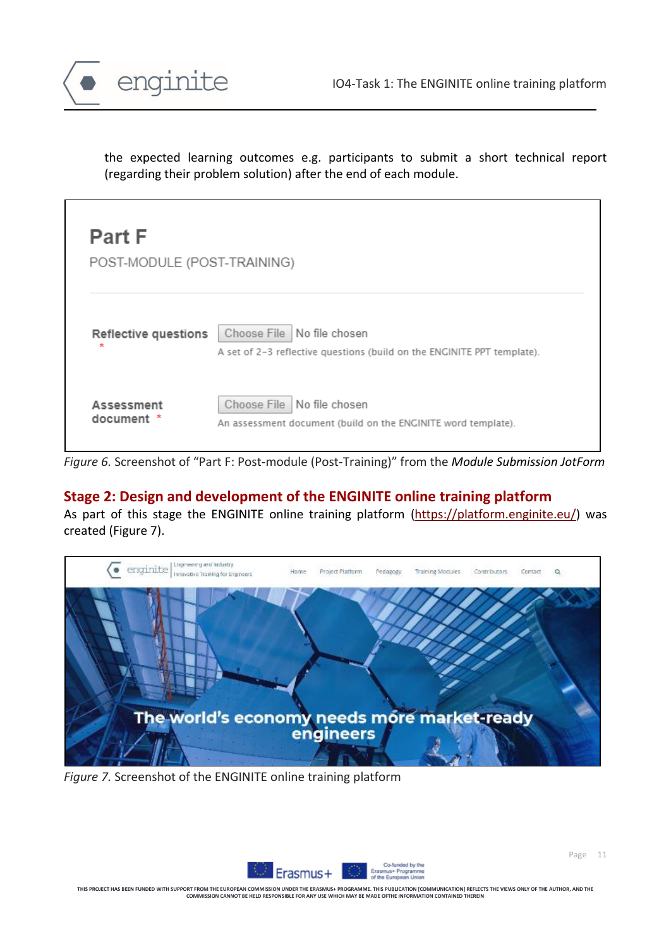

the expected learning outcomes e.g. participants to submit a short technical report (regarding their problem solution) after the end of each module.

| <b>Part F</b><br>POST-MODULE (POST-TRAINING) |                                                                                                         |
|----------------------------------------------|---------------------------------------------------------------------------------------------------------|
| Reflective questions<br>÷                    | Choose File   No file chosen<br>A set of 2-3 reflective questions (build on the ENGINITE PPT template). |
| Assessment<br>document                       | No file chosen<br>Choose File<br>An assessment document (build on the ENGINITE word template).          |

*Figure 6.* Screenshot of "Part F: Post-module (Post-Training)" from the *Module Submission JotForm*

## **Stage 2: Design and development of the ENGINITE online training platform**

As part of this stage the ENGINITE online training platform [\(https://platform.enginite.eu/\)](https://platform.enginite.eu/) was created (Figure 7).



*Figure 7.* Screenshot of the ENGINITE online training platform



Page 11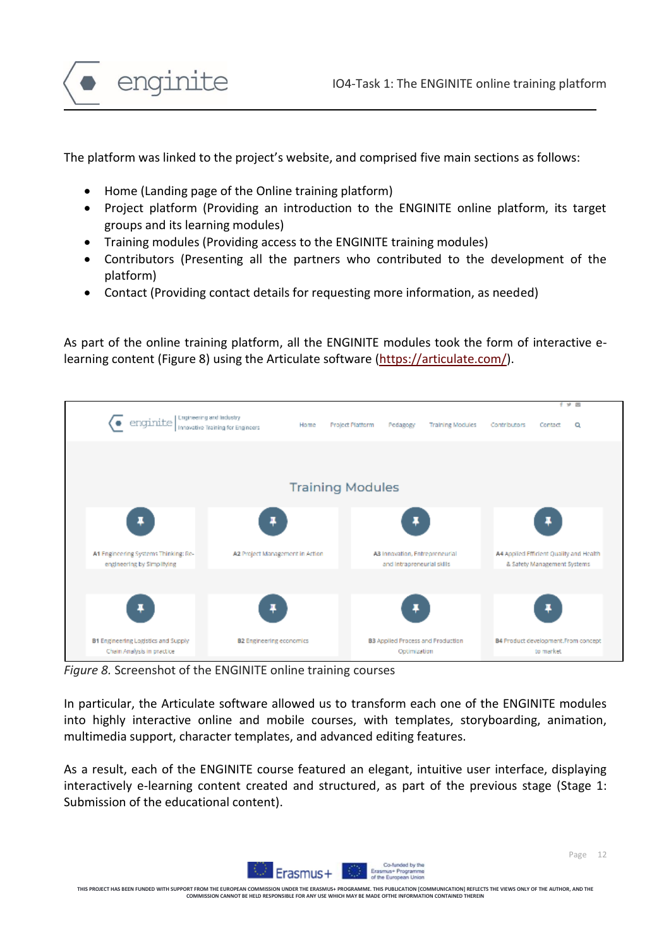



The platform was linked to the project's website, and comprised five main sections as follows:

- Home (Landing page of the Online training platform)
- Project platform (Providing an introduction to the ENGINITE online platform, its target groups and its learning modules)
- Training modules (Providing access to the ENGINITE training modules)
- Contributors (Presenting all the partners who contributed to the development of the platform)
- Contact (Providing contact details for requesting more information, as needed)

As part of the online training platform, all the ENGINITE modules took the form of interactive elearning content (Figure 8) using the Articulate software [\(https://articulate.com/\)](https://articulate.com/).



*Figure 8.* Screenshot of the ENGINITE online training courses

In particular, the Articulate software allowed us to transform each one of the ENGINITE modules into highly interactive online and mobile courses, with templates, storyboarding, animation, multimedia support, character templates, and advanced editing features.

As a result, each of the ENGINITE course featured an elegant, intuitive user interface, displaying interactively e-learning content created and structured, as part of the previous stage (Stage 1: Submission of the educational content).



**THIS PROJECT HAS BEEN FUNDED WITH SUPPORT FROM THE EUROPEAN COMMISSION UNDER THE ERASMUS+ PROGRAMME. THIS PUBLICATION [COMMUNICATION] REFLECTS THE VIEWS ONLY OF THE AUTHOR, AND THE COMMISSION CAN COMMISSION CAN ALL CANDOMISSION CONTAINMENT MAY BE MADE OF THE I**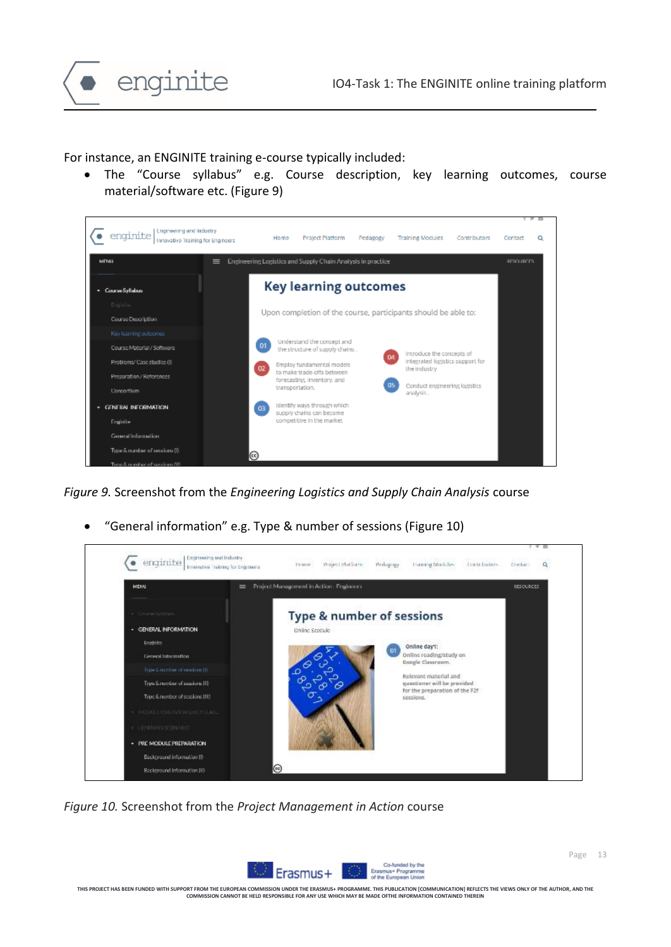

For instance, an ENGINITE training e-course typically included:

• The "Course syllabus" e.g. Course description, key learning outcomes, course material/software etc. (Figure 9)



*Figure 9.* Screenshot from the *Engineering Logistics and Supply Chain Analysis* course

• "General information" e.g. Type & number of sessions (Figure 10)



*Figure 10.* Screenshot from the *Project Management in Action* course

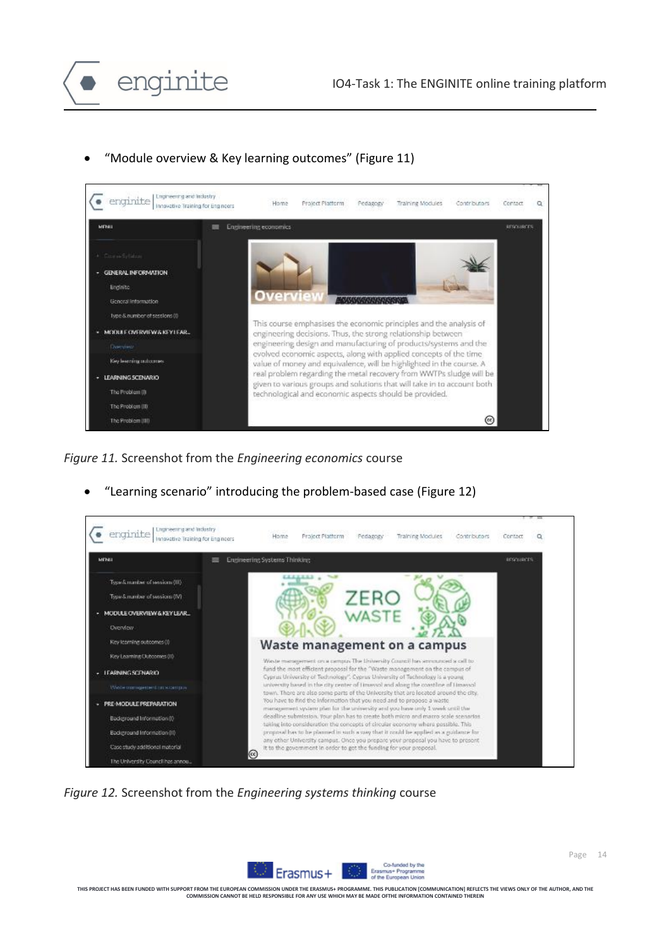

• "Module overview & Key learning outcomes" (Figure 11)



*Figure 11.* Screenshot from the *Engineering economics* course



• "Learning scenario" introducing the problem-based case (Figure 12)

*Figure 12.* Screenshot from the *Engineering systems thinking* course

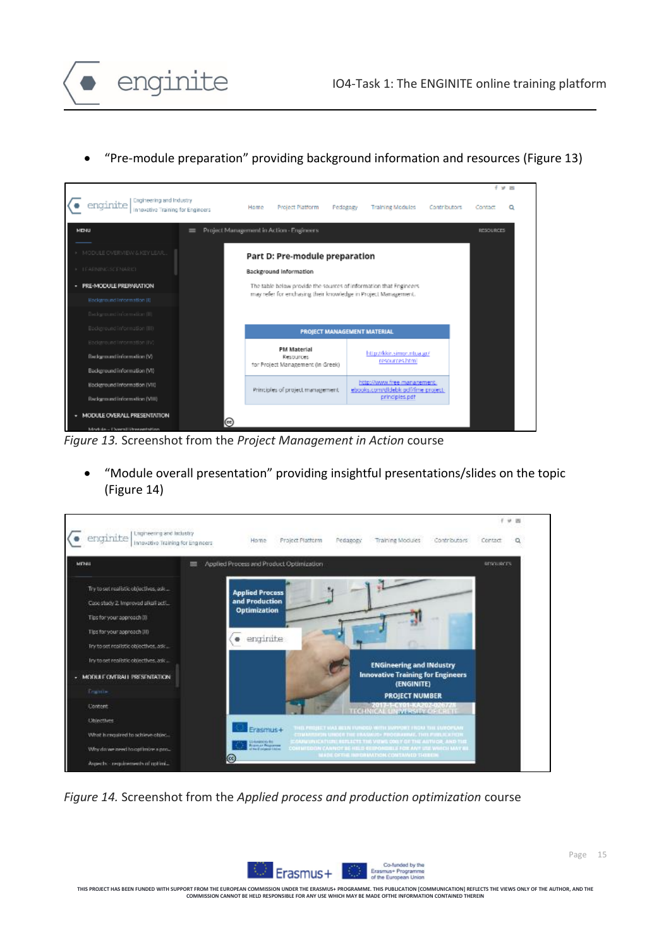

• "Pre-module preparation" providing background information and resources (Figure 13)



*Figure 13.* Screenshot from the *Project Management in Action* course

enginite

• "Module overall presentation" providing insightful presentations/slides on the topic (Figure 14)



*Figure 14.* Screenshot from the *Applied process and production optimization* course

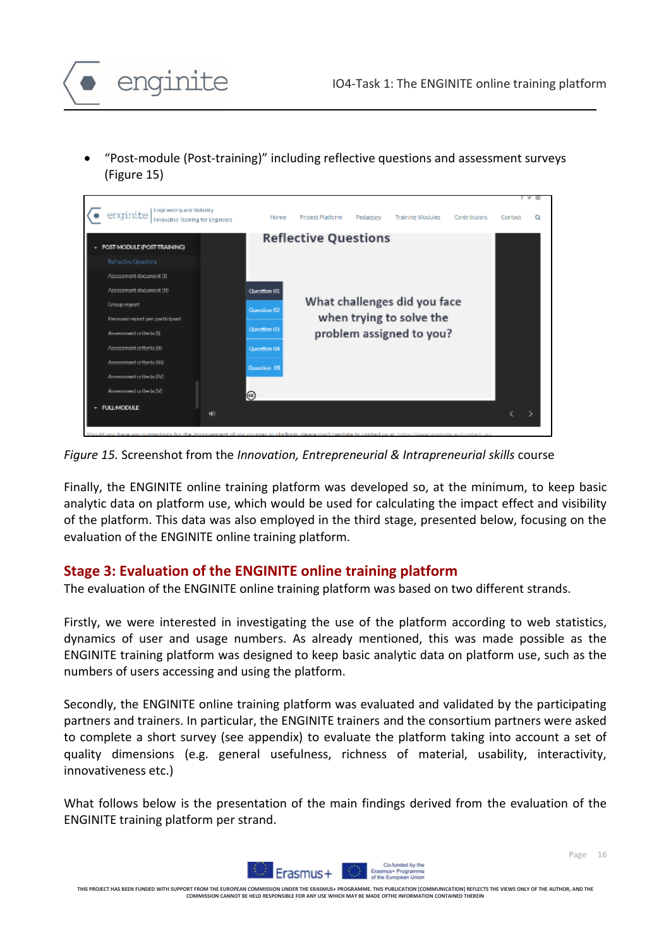

• "Post-module (Post-training)" including reflective questions and assessment surveys (Figure 15)



*Figure 15.* Screenshot from the *Innovation, Entrepreneurial & Intrapreneurial skills* course

Finally, the ENGINITE online training platform was developed so, at the minimum, to keep basic analytic data on platform use, which would be used for calculating the impact effect and visibility of the platform. This data was also employed in the third stage, presented below, focusing on the evaluation of the ENGINITE online training platform.

#### **Stage 3: Evaluation of the ENGINITE online training platform**

The evaluation of the ENGINITE online training platform was based on two different strands.

Firstly, we were interested in investigating the use of the platform according to web statistics, dynamics of user and usage numbers. As already mentioned, this was made possible as the ENGINITE training platform was designed to keep basic analytic data on platform use, such as the numbers of users accessing and using the platform.

Secondly, the ENGINITE online training platform was evaluated and validated by the participating partners and trainers. In particular, the ENGINITE trainers and the consortium partners were asked to complete a short survey (see appendix) to evaluate the platform taking into account a set of quality dimensions (e.g. general usefulness, richness of material, usability, interactivity, innovativeness etc.)

What follows below is the presentation of the main findings derived from the evaluation of the ENGINITE training platform per strand.



**THIS PROJECT HAS BEEN FUNDED WITH SUPPORT FROM THE EUROPEAN COMMISSION UNDER THE ERASMUS+ PROGRAMME. THIS PUBLICATION [COMMUNICATION] REFLECTS THE VIEWS ONLY OF THE AUTHOR, AND THE COMMISSION CANNOT BE HELD RESPONSIBLE FOR ANY USE WHICH MAY BE MADE OFTHE INFORMATION CONTAINED THEREIN**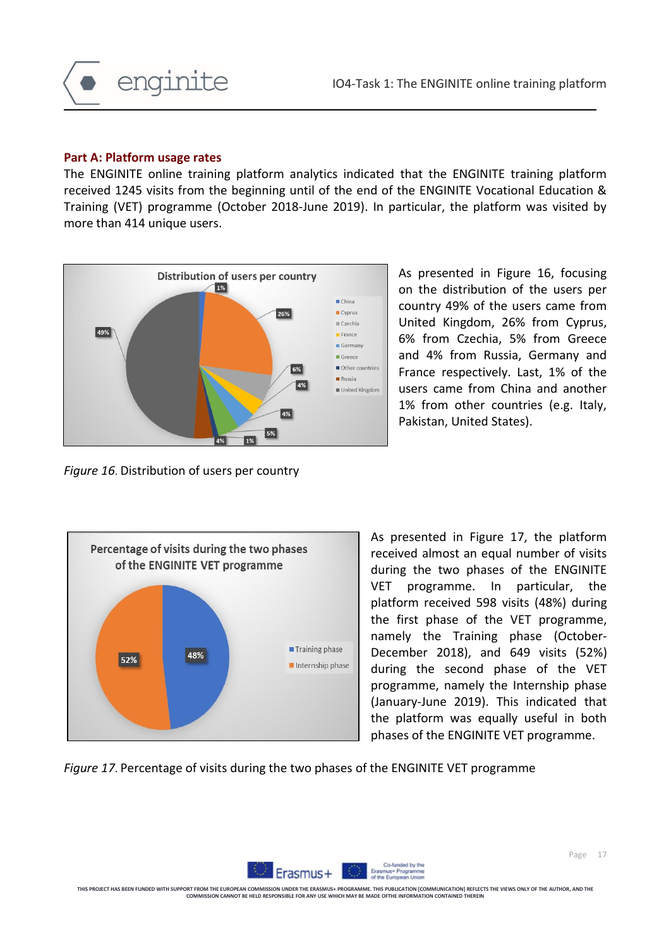

#### **Part A: Platform usage rates**

The ENGINITE online training platform analytics indicated that the ENGINITE training platform received 1245 visits from the beginning until of the end of the ENGINITE Vocational Education & Training (VET) programme (October 2018-June 2019). In particular, the platform was visited by more than 414 unique users.



As presented in Figure 16, focusing on the distribution of the users per country 49% of the users came from United Kingdom, 26% from Cyprus, 6% from Czechia, 5% from Greece and 4% from Russia, Germany and France respectively. Last, 1% of the users came from China and another 1% from other countries (e.g. Italy, Pakistan, United States).

*Figure 16*. Distribution of users per country



As presented in Figure 17, the platform received almost an equal number of visits during the two phases of the ENGINITE VET programme. In particular, the platform received 598 visits (48%) during the first phase of the VET programme, namely the Training phase (October-December 2018), and 649 visits (52%) during the second phase of the VET programme, namely the Internship phase (January-June 2019). This indicated that the platform was equally useful in both phases of the ENGINITE VET programme.

*Figure 17*. Percentage of visits during the two phases of the ENGINITE VET programme

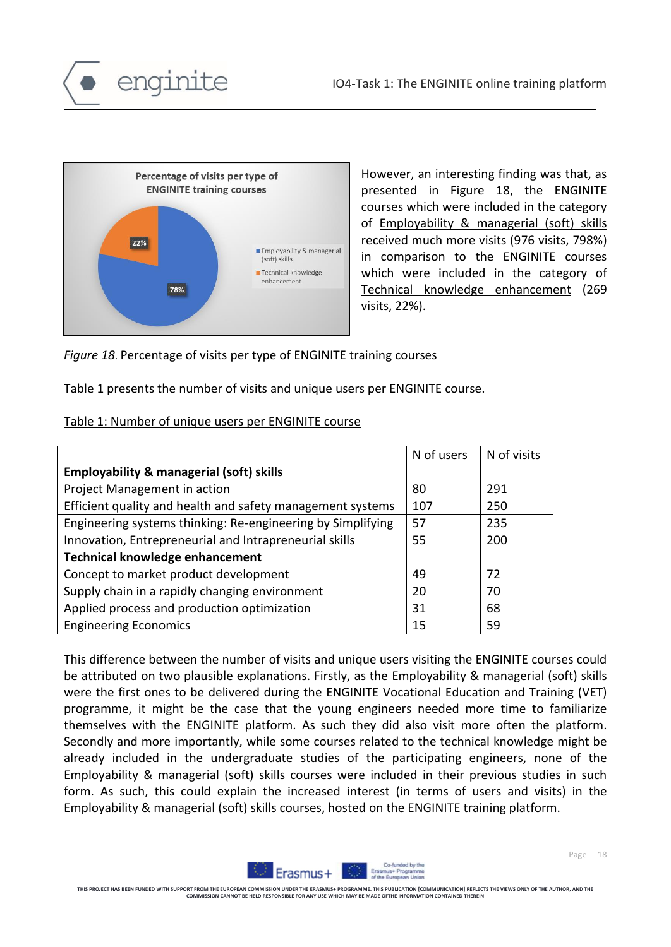



However, an interesting finding was that, as presented in Figure 18, the ENGINITE courses which were included in the category of Employability & managerial (soft) skills received much more visits (976 visits, 798%) in comparison to the ENGINITE courses which were included in the category of Technical knowledge enhancement (269 visits, 22%).

*Figure 18*. Percentage of visits per type of ENGINITE training courses

Table 1 presents the number of visits and unique users per ENGINITE course.

| Table 1: Number of unique users per ENGINITE course |
|-----------------------------------------------------|
|-----------------------------------------------------|

|                                                             | N of users | N of visits |
|-------------------------------------------------------------|------------|-------------|
| <b>Employability &amp; managerial (soft) skills</b>         |            |             |
| Project Management in action                                | 80         | 291         |
| Efficient quality and health and safety management systems  | 107        | 250         |
| Engineering systems thinking: Re-engineering by Simplifying | 57         | 235         |
| Innovation, Entrepreneurial and Intrapreneurial skills      | 55         | 200         |
| <b>Technical knowledge enhancement</b>                      |            |             |
| Concept to market product development                       | 49         | 72          |
| Supply chain in a rapidly changing environment              | 20         | 70          |
| Applied process and production optimization                 | 31         | 68          |
| <b>Engineering Economics</b>                                | 15         | 59          |

This difference between the number of visits and unique users visiting the ENGINITE courses could be attributed on two plausible explanations. Firstly, as the Employability & managerial (soft) skills were the first ones to be delivered during the ENGINITE Vocational Education and Training (VET) programme, it might be the case that the young engineers needed more time to familiarize themselves with the ENGINITE platform. As such they did also visit more often the platform. Secondly and more importantly, while some courses related to the technical knowledge might be already included in the undergraduate studies of the participating engineers, none of the Employability & managerial (soft) skills courses were included in their previous studies in such form. As such, this could explain the increased interest (in terms of users and visits) in the Employability & managerial (soft) skills courses, hosted on the ENGINITE training platform.



**THIS PROJECT HAS BEEN FUNDED WITH SUPPORT FROM THE EUROPEAN COMMISSION UNDER THE ERASMUS+ PROGRAMME. THIS PUBLICATION [COMMUNICATION] REFLECTS THE VIEWS ONLY OF THE AUTHOR, AND THE COMMISSION CAN COMMISSION CAN ALL CANOTICS AND LOCAL MANY BE MADE OFTHE I**<br>CANNOT BE HELD RESPONSIBLE FOR ANY USE WHICH MAY BE MADE OFTHE I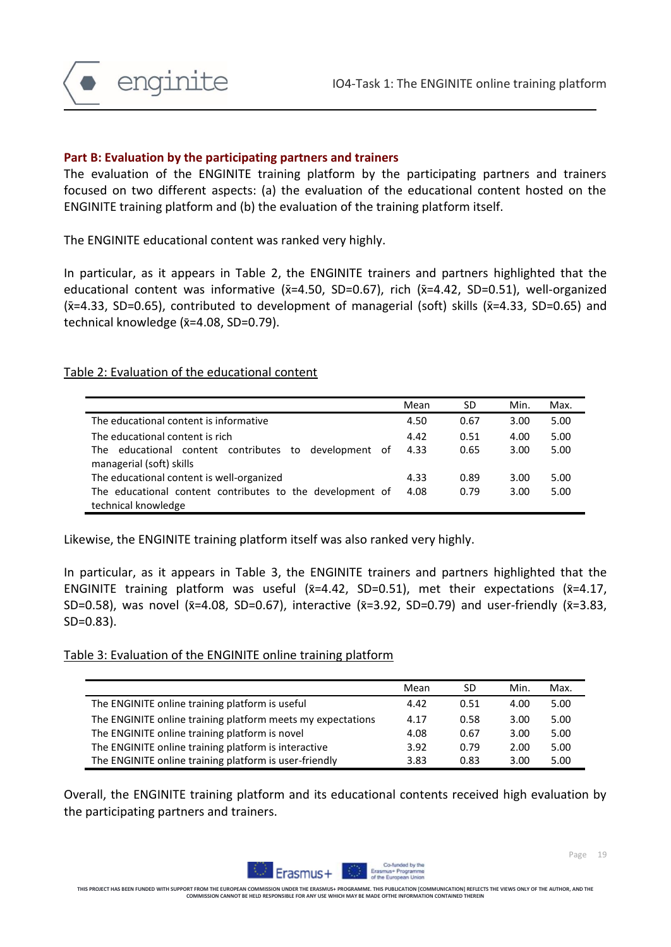

#### **Part B: Evaluation by the participating partners and trainers**

The evaluation of the ENGINITE training platform by the participating partners and trainers focused on two different aspects: (a) the evaluation of the educational content hosted on the ENGINITE training platform and (b) the evaluation of the training platform itself.

The ENGINITE educational content was ranked very highly.

In particular, as it appears in Table 2, the ENGINITE trainers and partners highlighted that the educational content was informative  $(x=4.50, SD=0.67)$ , rich  $(x=4.42, SD=0.51)$ , well-organized  $(x=4.33, SD=0.65)$ , contributed to development of managerial (soft) skills  $(x=4.33, SD=0.65)$  and technical knowledge  $(x=4.08, SD=0.79)$ .

#### Table 2: Evaluation of the educational content

|                                                           | Mean | SD   | Min. | Max. |
|-----------------------------------------------------------|------|------|------|------|
| The educational content is informative                    | 4.50 | 0.67 | 3.00 | 5.00 |
| The educational content is rich                           | 4.42 | 0.51 | 4.00 | 5.00 |
| educational content contributes to development of<br>The  | 4.33 | 0.65 | 3.00 | 5.00 |
| managerial (soft) skills                                  |      |      |      |      |
| The educational content is well-organized                 | 4.33 | 0.89 | 3.00 | 5.00 |
| The educational content contributes to the development of | 4.08 | 0.79 | 3.00 | 5.00 |
| technical knowledge                                       |      |      |      |      |

Likewise, the ENGINITE training platform itself was also ranked very highly.

In particular, as it appears in Table 3, the ENGINITE trainers and partners highlighted that the ENGINITE training platform was useful  $(x=4.42, SD=0.51)$ , met their expectations  $(x=4.17,$ SD=0.58), was novel ( $\bar{x}$ =4.08, SD=0.67), interactive ( $\bar{x}$ =3.92, SD=0.79) and user-friendly ( $\bar{x}$ =3.83, SD=0.83).

#### Table 3: Evaluation of the ENGINITE online training platform

|                                                             | Mean | SD   | Min. | Max. |
|-------------------------------------------------------------|------|------|------|------|
| The ENGINITE online training platform is useful             | 4.42 | 0.51 | 4.00 | 5.00 |
| The ENGINITE online training platform meets my expectations | 4.17 | 0.58 | 3.00 | 5.00 |
| The ENGINITE online training platform is novel              | 4.08 | 0.67 | 3.00 | 5.00 |
| The ENGINITE online training platform is interactive        | 3.92 | 0.79 | 2.00 | 5.00 |
| The ENGINITE online training platform is user-friendly      | 3.83 | 0.83 | 3.00 | 5.00 |

Overall, the ENGINITE training platform and its educational contents received high evaluation by the participating partners and trainers.

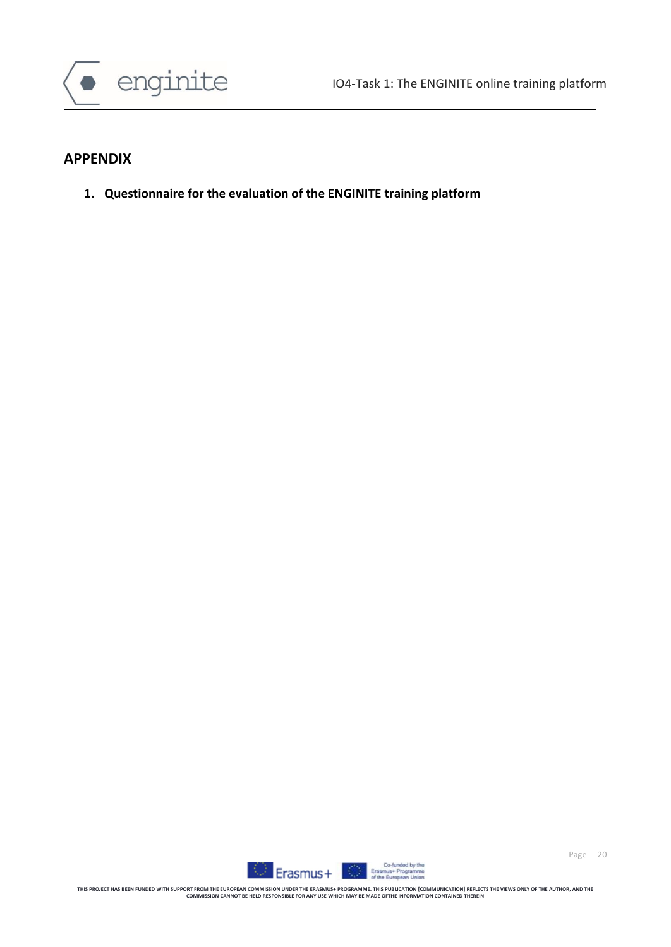



#### **APPENDIX**

**1. Questionnaire for the evaluation of the ENGINITE training platform**

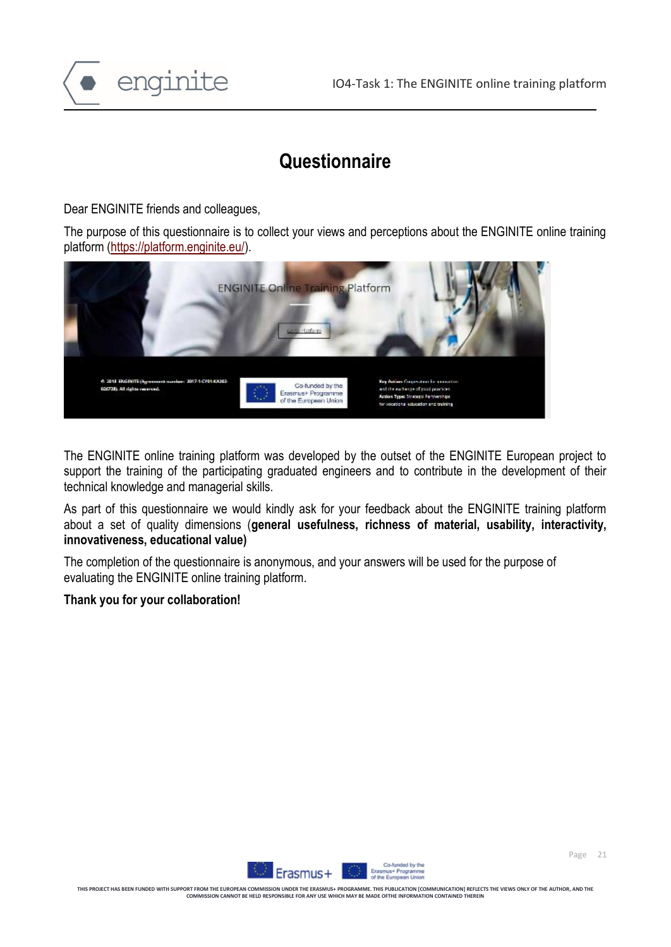

# **Questionnaire**

Dear ENGINITE friends and colleagues,

The purpose of this questionnaire is to collect your views and perceptions about the ENGINITE online training platform [\(https://platform.enginite.eu/\)](https://platform.enginite.eu/).



The ENGINITE online training platform was developed by the outset of the ENGINITE European project to support the training of the participating graduated engineers and to contribute in the development of their technical knowledge and managerial skills.

As part of this questionnaire we would kindly ask for your feedback about the ENGINITE training platform about a set of quality dimensions (**general usefulness, richness of material, usability, interactivity, innovativeness, educational value)**

The completion of the questionnaire is anonymous, and your answers will be used for the purpose of evaluating the ENGINITE online training platform.

#### **Thank you for your collaboration!**

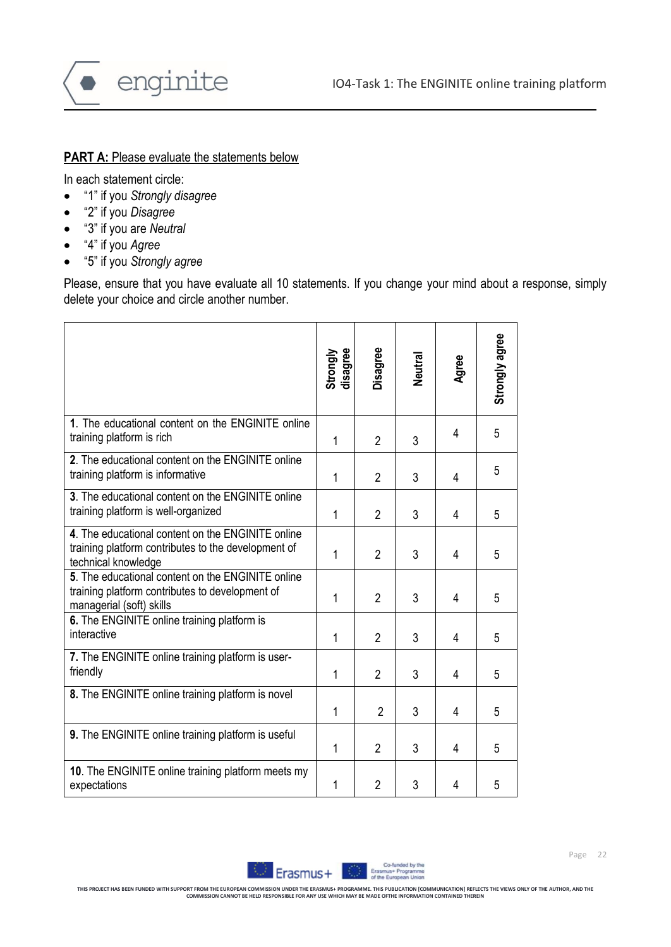

### **PART A: Please evaluate the statements below**

In each statement circle:

- "1" if you *Strongly disagree*
- "2" if you *Disagree*
- "3" if you are *Neutral*
- "4" if you *Agree*
- "5" if you *Strongly agree*

Please, ensure that you have evaluate all 10 statements. If you change your mind about a response, simply delete your choice and circle another number.

|                                                                                                                                  | Strongly<br>disagree | Disagree       | Neutral | Agree | Strongly agree |
|----------------------------------------------------------------------------------------------------------------------------------|----------------------|----------------|---------|-------|----------------|
| 1. The educational content on the ENGINITE online<br>training platform is rich                                                   | 1                    | $\overline{2}$ | 3       | 4     | 5              |
| 2. The educational content on the ENGINITE online<br>training platform is informative                                            | 1                    | $\overline{2}$ | 3       | 4     | 5              |
| 3. The educational content on the ENGINITE online<br>training platform is well-organized                                         | 1                    | $\overline{2}$ | 3       | 4     | 5              |
| 4. The educational content on the ENGINITE online<br>training platform contributes to the development of<br>technical knowledge  | 1                    | $\overline{2}$ | 3       | 4     | 5              |
| 5. The educational content on the ENGINITE online<br>training platform contributes to development of<br>managerial (soft) skills | $\mathbf{1}$         | $\overline{2}$ | 3       | 4     | 5              |
| 6. The ENGINITE online training platform is<br>interactive                                                                       | 1                    | $\overline{2}$ | 3       | 4     | 5              |
| 7. The ENGINITE online training platform is user-<br>friendly                                                                    | 1                    | $\overline{2}$ | 3       | 4     | 5              |
| 8. The ENGINITE online training platform is novel                                                                                | 1                    | $\overline{2}$ | 3       | 4     | 5              |
| 9. The ENGINITE online training platform is useful                                                                               | 1                    | $\overline{2}$ | 3       | 4     | 5              |
| 10. The ENGINITE online training platform meets my<br>expectations                                                               | 1                    | $\overline{2}$ | 3       | 4     | 5              |